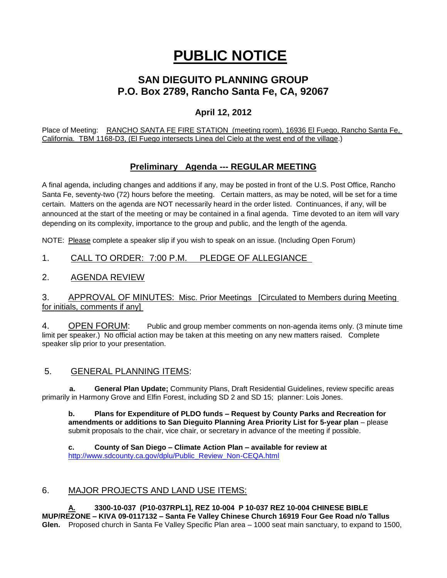# **PUBLIC NOTICE**

# **SAN DIEGUITO PLANNING GROUP P.O. Box 2789, Rancho Santa Fe, CA, 92067**

# **April 12, 2012**

Place of Meeting: RANCHO SANTA FE FIRE STATION (meeting room), 16936 El Fuego, Rancho Santa Fe, California. TBM 1168-D3, (El Fuego intersects Linea del Cielo at the west end of the village.)

# **Preliminary Agenda --- REGULAR MEETING**

A final agenda, including changes and additions if any, may be posted in front of the U.S. Post Office, Rancho Santa Fe, seventy-two (72) hours before the meeting. Certain matters, as may be noted, will be set for a time certain. Matters on the agenda are NOT necessarily heard in the order listed. Continuances, if any, will be announced at the start of the meeting or may be contained in a final agenda. Time devoted to an item will vary depending on its complexity, importance to the group and public, and the length of the agenda.

NOTE: Please complete a speaker slip if you wish to speak on an issue. (Including Open Forum)

# 1. CALL TO ORDER: 7:00 P.M. PLEDGE OF ALLEGIANCE

#### 2. AGENDA REVIEW

#### 3. APPROVAL OF MINUTES: Misc. Prior Meetings [Circulated to Members during Meeting for initials, comments if any]

4. OPEN FORUM: Public and group member comments on non-agenda items only. (3 minute time limit per speaker.) No official action may be taken at this meeting on any new matters raised. Complete speaker slip prior to your presentation.

#### 5. GENERAL PLANNING ITEMS:

 **a. General Plan Update;** Community Plans, Draft Residential Guidelines, review specific areas primarily in Harmony Grove and Elfin Forest, including SD 2 and SD 15; planner: Lois Jones.

**b. Plans for Expenditure of PLDO funds – Request by County Parks and Recreation for amendments or additions to San Dieguito Planning Area Priority List for 5-year plan** – please submit proposals to the chair, vice chair, or secretary in advance of the meeting if possible.

**c. County of San Diego – Climate Action Plan – available for review at**  [http://www.sdcounty.ca.gov/dplu/Public\\_Review\\_Non-CEQA.html](http://www.sdcounty.ca.gov/dplu/Public_Review_Non-CEQA.html)

# 6. MAJOR PROJECTS AND LAND USE ITEMS:

**A. 3300-10-037 (P10-037RPL1], REZ 10-004 P 10-037 REZ 10-004 CHINESE BIBLE MUP/REZONE – KIVA 09-0117132 – Santa Fe Valley Chinese Church 16919 Four Gee Road n/o Tallus Glen.** Proposed church in Santa Fe Valley Specific Plan area – 1000 seat main sanctuary, to expand to 1500,